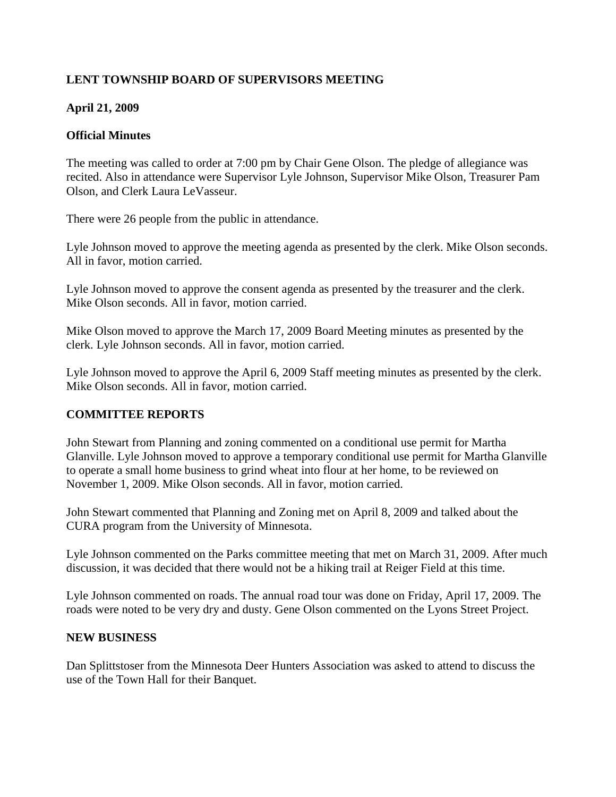# **LENT TOWNSHIP BOARD OF SUPERVISORS MEETING**

# **April 21, 2009**

# **Official Minutes**

The meeting was called to order at 7:00 pm by Chair Gene Olson. The pledge of allegiance was recited. Also in attendance were Supervisor Lyle Johnson, Supervisor Mike Olson, Treasurer Pam Olson, and Clerk Laura LeVasseur.

There were 26 people from the public in attendance.

Lyle Johnson moved to approve the meeting agenda as presented by the clerk. Mike Olson seconds. All in favor, motion carried.

Lyle Johnson moved to approve the consent agenda as presented by the treasurer and the clerk. Mike Olson seconds. All in favor, motion carried.

Mike Olson moved to approve the March 17, 2009 Board Meeting minutes as presented by the clerk. Lyle Johnson seconds. All in favor, motion carried.

Lyle Johnson moved to approve the April 6, 2009 Staff meeting minutes as presented by the clerk. Mike Olson seconds. All in favor, motion carried.

## **COMMITTEE REPORTS**

John Stewart from Planning and zoning commented on a conditional use permit for Martha Glanville. Lyle Johnson moved to approve a temporary conditional use permit for Martha Glanville to operate a small home business to grind wheat into flour at her home, to be reviewed on November 1, 2009. Mike Olson seconds. All in favor, motion carried.

John Stewart commented that Planning and Zoning met on April 8, 2009 and talked about the CURA program from the University of Minnesota.

Lyle Johnson commented on the Parks committee meeting that met on March 31, 2009. After much discussion, it was decided that there would not be a hiking trail at Reiger Field at this time.

Lyle Johnson commented on roads. The annual road tour was done on Friday, April 17, 2009. The roads were noted to be very dry and dusty. Gene Olson commented on the Lyons Street Project.

## **NEW BUSINESS**

Dan Splittstoser from the Minnesota Deer Hunters Association was asked to attend to discuss the use of the Town Hall for their Banquet.